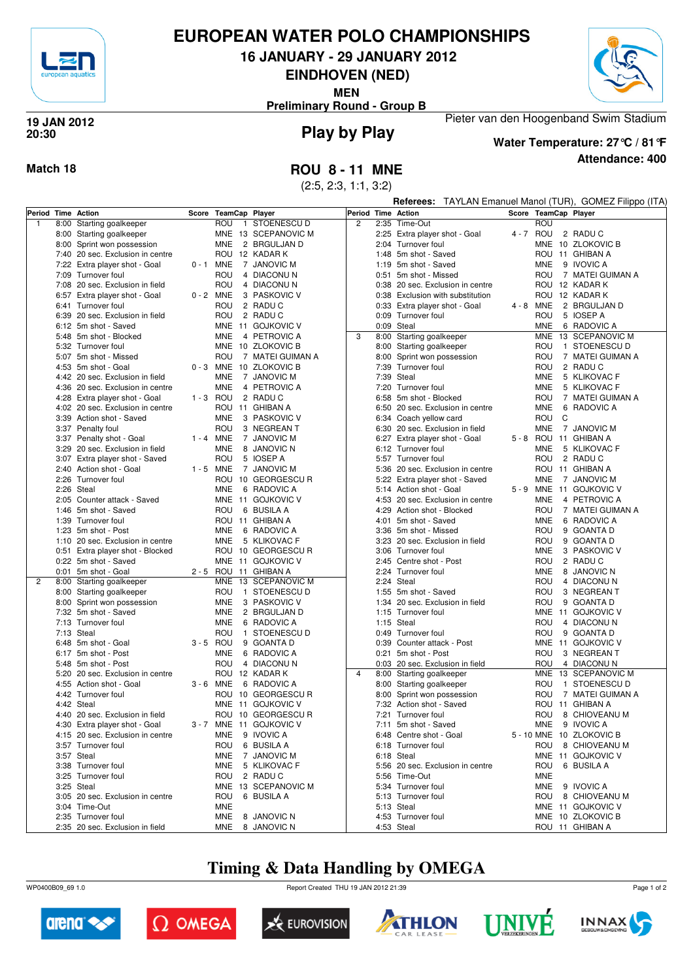

## **EUROPEAN WATER POLO CHAMPIONSHIPS**

**16 JANUARY - 29 JANUARY 2012**

**EINDHOVEN (NED)**

**MEN**

**Preliminary Round - Group B**



### **Play by Play 19 JAN 2012 20:30**



**Attendance: 400 Water Temperature: 27°C / 81°F**

Pieter van den Hoogenband Swim Stadium

## **Match 18 ROU 8 - 11 MNE**

(2:5, 2:3, 1:1, 3:2)

|                    |                                  |             |                      |                         | TAYLAN Emanuel Manol (TUR), GOMEZ Filippo (ITA)<br>Referees: |      |                                  |  |            |   |                          |
|--------------------|----------------------------------|-------------|----------------------|-------------------------|--------------------------------------------------------------|------|----------------------------------|--|------------|---|--------------------------|
| Period Time Action |                                  |             | Score TeamCap Player |                         | Period Time Action                                           |      |                                  |  |            |   | Score TeamCap Player     |
| -1                 | 8:00 Starting goalkeeper         |             | ROU<br>1             | STOENESCU D             | 2                                                            |      | 2:35 Time-Out                    |  | ROU        |   |                          |
|                    | 8:00 Starting goalkeeper         |             | <b>MNE</b>           | 13 SCEPANOVIC M         |                                                              |      | 2:25 Extra player shot - Goal    |  | 4 - 7 ROU  |   | 2 RADUC                  |
|                    | 8:00 Sprint won possession       |             | <b>MNE</b>           | 2 BRGULJAN D            |                                                              |      | 2:04 Turnover foul               |  |            |   | MNE 10 ZLOKOVIC B        |
|                    | 7:40 20 sec. Exclusion in centre |             |                      | ROU 12 KADAR K          |                                                              |      | 1:48 5m shot - Saved             |  |            |   | ROU 11 GHIBAN A          |
|                    | 7:22 Extra player shot - Goal    | $0 - 1$ MNE |                      | 7 JANOVIC M             |                                                              |      | 1:19 5m shot - Saved             |  | MNE.       |   | 9 IVOVIC A               |
|                    | 7:09 Turnover foul               |             | ROU                  | 4 DIACONUN              |                                                              |      | 0:51 5m shot - Missed            |  | ROU        |   | 7 MATEI GUIMAN A         |
|                    | 7:08 20 sec. Exclusion in field  |             | ROU                  | 4 DIACONUN              |                                                              |      | 0:38 20 sec. Exclusion in centre |  |            |   | ROU 12 KADAR K           |
|                    | 6:57 Extra player shot - Goal    | $0 - 2$ MNE |                      | 3 PASKOVIC V            |                                                              |      | 0:38 Exclusion with substitution |  |            |   | ROU 12 KADAR K           |
|                    | 6:41 Turnover foul               |             | ROU                  | 2 RADU C                |                                                              |      | 0:33 Extra player shot - Goal    |  | 4 - 8 MNE  |   | 2 BRGULJAN D             |
|                    | 6:39 20 sec. Exclusion in field  |             | ROU                  | 2 RADU C                |                                                              |      | 0:09 Turnover foul               |  | ROU        |   | 5 IOSEP A                |
|                    | 6:12 5m shot - Saved             |             |                      | MNE 11 GOJKOVIC V       |                                                              |      | 0:09 Steal                       |  | <b>MNE</b> |   | 6 RADOVIC A              |
|                    | 5:48 5m shot - Blocked           |             | MNE                  | 4 PETROVIC A            | 3                                                            |      | 8:00 Starting goalkeeper         |  | <b>MNE</b> |   | 13 SCEPANOVIC M          |
|                    | 5:32 Turnover foul               |             |                      | MNE 10 ZLOKOVIC B       |                                                              |      | 8:00 Starting goalkeeper         |  | ROU        |   | 1 STOENESCU D            |
|                    | 5:07 5m shot - Missed            |             | ROU                  | 7 MATEI GUIMAN A        |                                                              | 8:00 | Sprint won possession            |  | ROU        |   | 7 MATEI GUIMAN A         |
|                    | 4:53 5m shot - Goal              | $0 - 3$ MNE |                      | 10 ZLOKOVIC B           |                                                              |      | 7:39 Turnover foul               |  | ROU        |   | 2 RADUC                  |
|                    | 4:42 20 sec. Exclusion in field  |             | <b>MNE</b>           | 7 JANOVIC M             |                                                              |      | 7:39 Steal                       |  | <b>MNE</b> |   | 5 KLIKOVAC F             |
|                    | 4:36 20 sec. Exclusion in centre |             | <b>MNE</b>           | 4 PETROVIC A            |                                                              |      | 7:20 Turnover foul               |  | <b>MNE</b> |   | 5 KLIKOVAC F             |
|                    | 4:28 Extra player shot - Goal    | $1 - 3$ ROU |                      | 2 RADU C                |                                                              |      | 6:58 5m shot - Blocked           |  | ROU        |   | 7 MATEI GUIMAN A         |
|                    | 4:02 20 sec. Exclusion in centre |             |                      | ROU 11 GHIBAN A         |                                                              |      | 6:50 20 sec. Exclusion in centre |  | <b>MNE</b> |   | 6 RADOVIC A              |
|                    | 3:39 Action shot - Saved         |             | <b>MNE</b>           | 3 PASKOVIC V            |                                                              |      | 6:34 Coach yellow card           |  | ROU        | C |                          |
|                    | 3:37 Penalty foul                |             | ROU                  | 3 NEGREAN T             |                                                              |      |                                  |  | <b>MNE</b> |   | 7 JANOVIC M              |
|                    |                                  | $1 - 4$ MNE |                      |                         |                                                              |      | 6:30 20 sec. Exclusion in field  |  |            |   |                          |
|                    | 3:37 Penalty shot - Goal         |             |                      | 7 JANOVIC M             |                                                              |      | 6:27 Extra player shot - Goal    |  |            |   | 5 - 8 ROU 11 GHIBAN A    |
|                    | 3:29 20 sec. Exclusion in field  |             | <b>MNE</b>           | 8 JANOVIC N             |                                                              |      | 6:12 Turnover foul               |  | MNE        |   | 5 KLIKOVAC F             |
|                    | 3:07 Extra player shot - Saved   |             | ROU                  | 5 IOSEP A               |                                                              |      | 5:57 Turnover foul               |  | ROU        |   | 2 RADUC                  |
|                    | 2:40 Action shot - Goal          | 1 - 5 MNE   |                      | 7 JANOVIC M             |                                                              | 5:36 | 20 sec. Exclusion in centre      |  |            |   | ROU 11 GHIBAN A          |
|                    | 2:26 Turnover foul               |             |                      | ROU 10 GEORGESCUR       |                                                              | 5:22 | Extra player shot - Saved        |  | <b>MNE</b> |   | 7 JANOVIC M              |
|                    | 2:26 Steal                       |             | <b>MNE</b>           | 6 RADOVIC A             |                                                              |      | 5:14 Action shot - Goal          |  | 5-9 MNE    |   | 11 GOJKOVIC V            |
|                    | 2:05 Counter attack - Saved      |             |                      | MNE 11 GOJKOVIC V       |                                                              |      | 4:53 20 sec. Exclusion in centre |  | <b>MNE</b> |   | 4 PETROVIC A             |
|                    | 1:46 5m shot - Saved             |             | ROU                  | 6 BUSILA A              |                                                              | 4:29 | Action shot - Blocked            |  | <b>ROU</b> |   | 7 MATEI GUIMAN A         |
|                    | 1:39 Turnover foul               |             |                      | ROU 11 GHIBAN A         |                                                              |      | 4:01 5m shot - Saved             |  | <b>MNE</b> |   | 6 RADOVIC A              |
|                    | 1:23 5m shot - Post              |             | <b>MNE</b>           | 6 RADOVIC A             |                                                              |      | 3:36 5m shot - Missed            |  | ROU        |   | 9 GOANTA D               |
|                    | 1:10 20 sec. Exclusion in centre |             | <b>MNE</b>           | 5 KLIKOVAC F            |                                                              |      | 3:23 20 sec. Exclusion in field  |  | ROU        |   | 9 GOANTA D               |
|                    | 0:51 Extra player shot - Blocked |             |                      | ROU 10 GEORGESCUR       |                                                              |      | 3:06 Turnover foul               |  | <b>MNE</b> |   | 3 PASKOVIC V             |
|                    | 0:22 5m shot - Saved             |             |                      | MNE 11 GOJKOVIC V       |                                                              |      | 2:45 Centre shot - Post          |  | ROU        |   | 2 RADUC                  |
|                    | 0:01 5m shot - Goal              |             |                      | 2 - 5 ROU 11 GHIBAN A   |                                                              |      | 2:24 Turnover foul               |  | <b>MNE</b> |   | 8 JANOVIC N              |
| $\overline{2}$     | 8:00 Starting goalkeeper         |             | <b>MNE</b>           | 13 SCEPANOVIC M         |                                                              |      | 2:24 Steal                       |  | ROU        |   | 4 DIACONUN               |
|                    | 8:00 Starting goalkeeper         |             | ROU                  | 1 STOENESCU D           |                                                              |      | 1:55 5m shot - Saved             |  | ROU        |   | 3 NEGREAN T              |
|                    | 8:00 Sprint won possession       |             | <b>MNE</b>           | 3 PASKOVIC V            |                                                              | 1:34 | 20 sec. Exclusion in field       |  | ROU        |   | 9 GOANTA D               |
|                    | 7:32 5m shot - Saved             |             | <b>MNE</b>           | 2 BRGULJAN D            |                                                              |      | 1:15 Turnover foul               |  |            |   | MNE 11 GOJKOVIC V        |
|                    | 7:13 Turnover foul               |             | <b>MNE</b>           | 6 RADOVIC A             |                                                              |      | 1:15 Steal                       |  | ROU        |   | 4 DIACONUN               |
|                    | 7:13 Steal                       |             | ROU                  | 1 STOENESCU D           |                                                              |      | 0:49 Turnover foul               |  | ROU        |   | 9 GOANTA D               |
|                    | 6:48 5m shot - Goal              | $3 - 5$ ROU |                      | 9 GOANTA D              |                                                              | 0:39 | Counter attack - Post            |  | <b>MNE</b> |   | 11 GOJKOVIC V            |
|                    | 6:17 5m shot - Post              |             | <b>MNE</b>           | 6 RADOVIC A             |                                                              |      | 0:21 5m shot - Post              |  | ROU        |   | 3 NEGREAN T              |
|                    | 5:48 5m shot - Post              |             | ROU                  | 4 DIACONUN              |                                                              |      | 0:03 20 sec. Exclusion in field  |  | ROU        |   | 4 DIACONUN               |
|                    | 5:20 20 sec. Exclusion in centre |             |                      | ROU 12 KADAR K          | $\overline{4}$                                               |      | 8:00 Starting goalkeeper         |  | MNE        |   | 13 SCEPANOVIC M          |
|                    | 4:55 Action shot - Goal          | 3-6 MNE     |                      | 6 RADOVIC A             |                                                              |      | 8:00 Starting goalkeeper         |  | ROU        |   | 1 STOENESCU D            |
|                    | 4:42 Turnover foul               |             | ROU                  | 10 GEORGESCU R          |                                                              |      | 8:00 Sprint won possession       |  | ROU        |   | 7 MATEI GUIMAN A         |
|                    | 4:42 Steal                       |             |                      | MNE 11 GOJKOVIC V       |                                                              |      | 7:32 Action shot - Saved         |  |            |   | ROU 11 GHIBAN A          |
|                    | 4:40 20 sec. Exclusion in field  |             |                      | ROU 10 GEORGESCUR       |                                                              |      | 7:21 Turnover foul               |  | <b>ROU</b> |   | 8 CHIOVEANU M            |
|                    | 4:30 Extra player shot - Goal    |             |                      | 3 - 7 MNE 11 GOJKOVIC V |                                                              |      | 7:11 5m shot - Saved             |  |            |   | MNE 9 IVOVIC A           |
|                    | 4:15 20 sec. Exclusion in centre |             | <b>MNE</b>           | 9 IVOVIC A              |                                                              |      | 6:48 Centre shot - Goal          |  |            |   | 5 - 10 MNE 10 ZLOKOVIC B |
|                    | 3:57 Turnover foul               |             | ROU                  | 6 BUSILA A              |                                                              |      | 6:18 Turnover foul               |  | ROU        |   | 8 CHIOVEANU M            |
|                    | 3:57 Steal                       |             | MNE                  | 7 JANOVIC M             |                                                              |      | 6:18 Steal                       |  |            |   | MNE 11 GOJKOVIC V        |
|                    | 3:38 Turnover foul               |             | <b>MNE</b>           | 5 KLIKOVAC F            |                                                              |      | 5:56 20 sec. Exclusion in centre |  |            |   | ROU 6 BUSILA A           |
|                    | 3:25 Turnover foul               |             | ROU 2 RADUC          |                         |                                                              |      | 5:56 Time-Out                    |  | <b>MNE</b> |   |                          |
|                    | 3:25 Steal                       |             |                      | MNE 13 SCEPANOVIC M     |                                                              |      | 5:34 Turnover foul               |  |            |   | MNE 9 IVOVIC A           |
|                    | 3:05 20 sec. Exclusion in centre |             | ROU                  | 6 BUSILA A              |                                                              |      | 5:13 Turnover foul               |  | ROU        |   | 8 CHIOVEANU M            |
|                    | 3:04 Time-Out                    |             | <b>MNE</b>           |                         |                                                              |      | 5:13 Steal                       |  |            |   | MNE 11 GOJKOVIC V        |
|                    | 2:35 Turnover foul               |             | <b>MNE</b>           | 8 JANOVIC N             |                                                              |      | 4:53 Turnover foul               |  |            |   | MNE 10 ZLOKOVIC B        |
|                    | 2:35 20 sec. Exclusion in field  |             | MNE                  | 8 JANOVIC N             |                                                              |      | 4:53 Steal                       |  |            |   | ROU 11 GHIBAN A          |

# **Timing & Data Handling by OMEGA**

WP0400B09\_69 1.0 Report Created THU 19 JAN 2012 21:39













Page 1 of 2